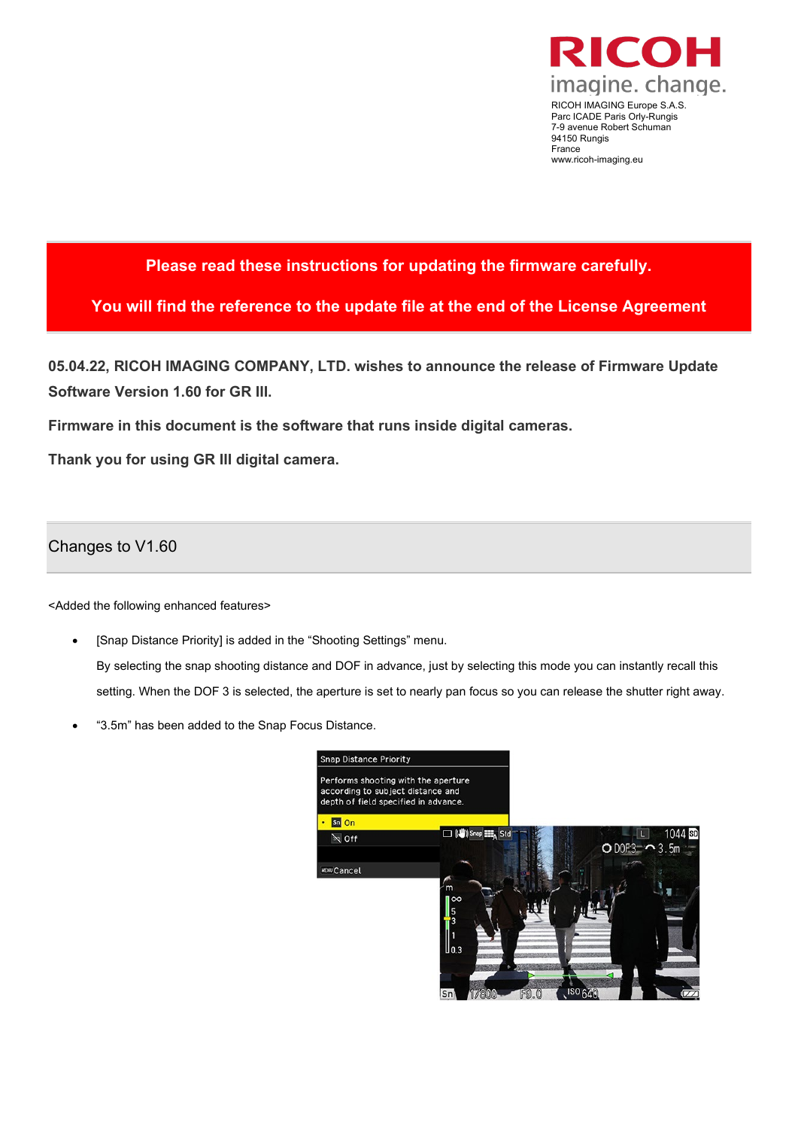

RICOH IMAGING Europe S.A.S. Parc ICADE Paris Orly-Rungis 7-9 avenue Robert Schuman 94150 Rungis France www.ricoh-imaging.eu

# **Please read these instructions for updating the firmware carefully.**

**You will find the reference to the update file at the end of the License Agreement**

**05.04.22, RICOH IMAGING COMPANY, LTD. wishes to announce the release of Firmware Update Software Version 1.60 for GR III.**

**Firmware in this document is the software that runs inside digital cameras.**

**Thank you for using GR III digital camera.**

### Changes to V1.60

<Added the following enhanced features>

- [Snap Distance Priority] is added in the "Shooting Settings" menu. By selecting the snap shooting distance and DOF in advance, just by selecting this mode you can instantly recall this setting. When the DOF 3 is selected, the aperture is set to nearly pan focus so you can release the shutter right away.
- "3.5m" has been added to the Snap Focus Distance.

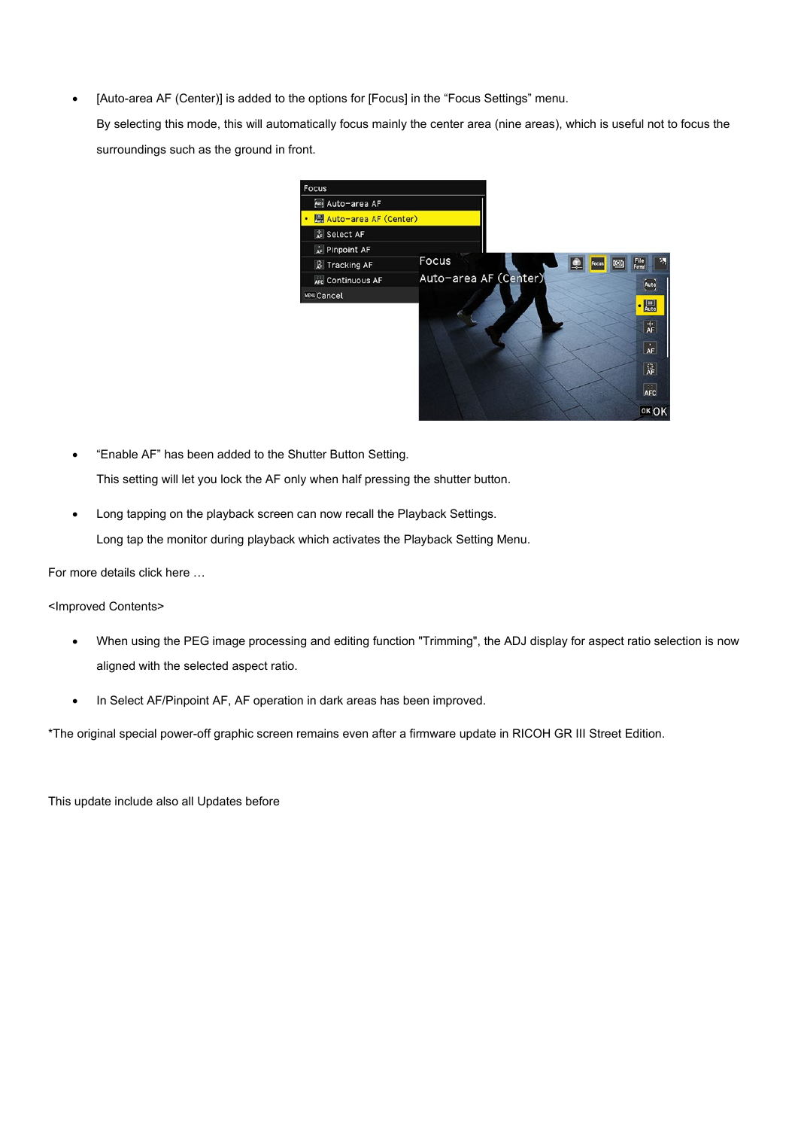• [Auto-area AF (Center)] is added to the options for [Focus] in the "Focus Settings" menu.

By selecting this mode, this will automatically focus mainly the center area (nine areas), which is useful not to focus the surroundings such as the ground in front.



- "Enable AF" has been added to the Shutter Button Setting. This setting will let you lock the AF only when half pressing the shutter button.
- Long tapping on the playback screen can now recall the Playback Settings. Long tap the monitor during playback which activates the Playback Setting Menu.

For more details click here …

<Improved Contents>

- When using the PEG image processing and editing function "Trimming", the ADJ display for aspect ratio selection is now aligned with the selected aspect ratio.
- In Select AF/Pinpoint AF, AF operation in dark areas has been improved.

\*The original special power-off graphic screen remains even after a firmware update in RICOH GR III Street Edition.

This update include also all Updates before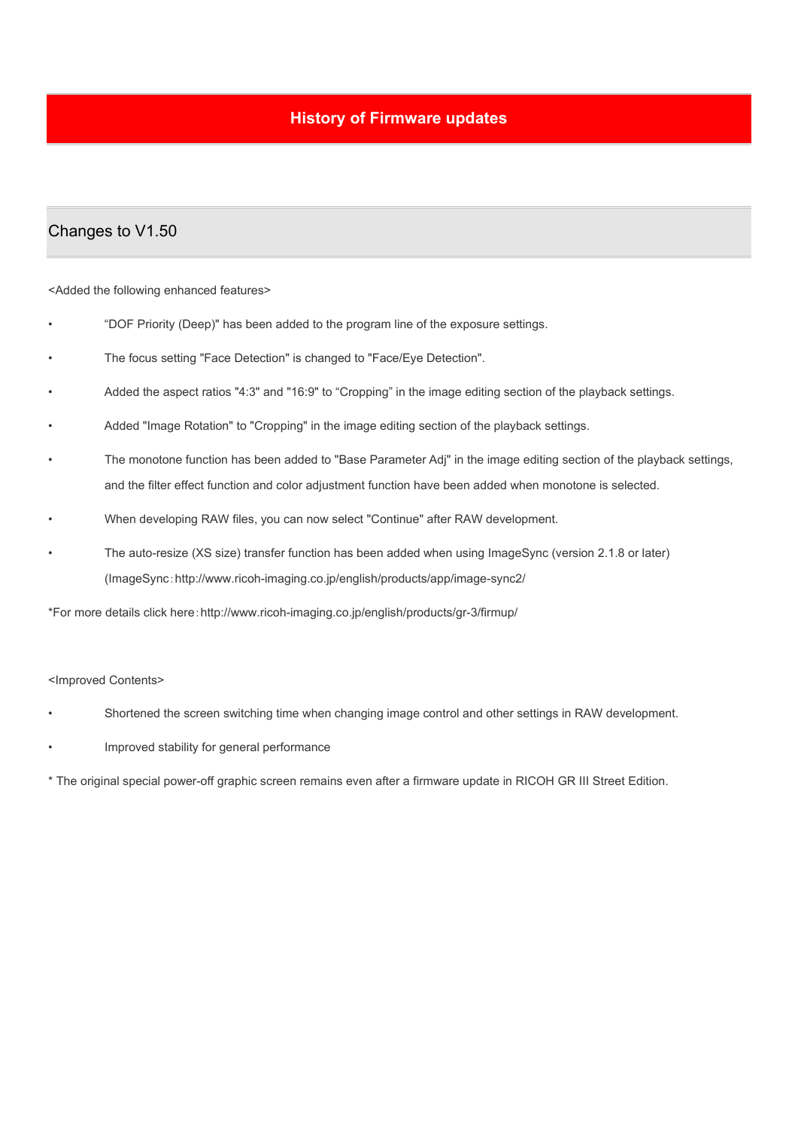# **History of Firmware updates**

## Changes to V1.50

<Added the following enhanced features>

- "DOF Priority (Deep)" has been added to the program line of the exposure settings.
- The focus setting "Face Detection" is changed to "Face/Eye Detection".
- Added the aspect ratios "4:3" and "16:9" to "Cropping" in the image editing section of the playback settings.
- Added "Image Rotation" to "Cropping" in the image editing section of the playback settings.
- The monotone function has been added to "Base Parameter Adj" in the image editing section of the playback settings, and the filter effect function and color adjustment function have been added when monotone is selected.
- When developing RAW files, you can now select "Continue" after RAW development.
- The auto-resize (XS size) transfer function has been added when using ImageSync (version 2.1.8 or later) (ImageSync:http://www.ricoh-imaging.co.jp/english/products/app/image-sync2/

\*For more details click here:http://www.ricoh-imaging.co.jp/english/products/gr-3/firmup/

### <Improved Contents>

- Shortened the screen switching time when changing image control and other settings in RAW development.
- Improved stability for general performance

\* The original special power-off graphic screen remains even after a firmware update in RICOH GR III Street Edition.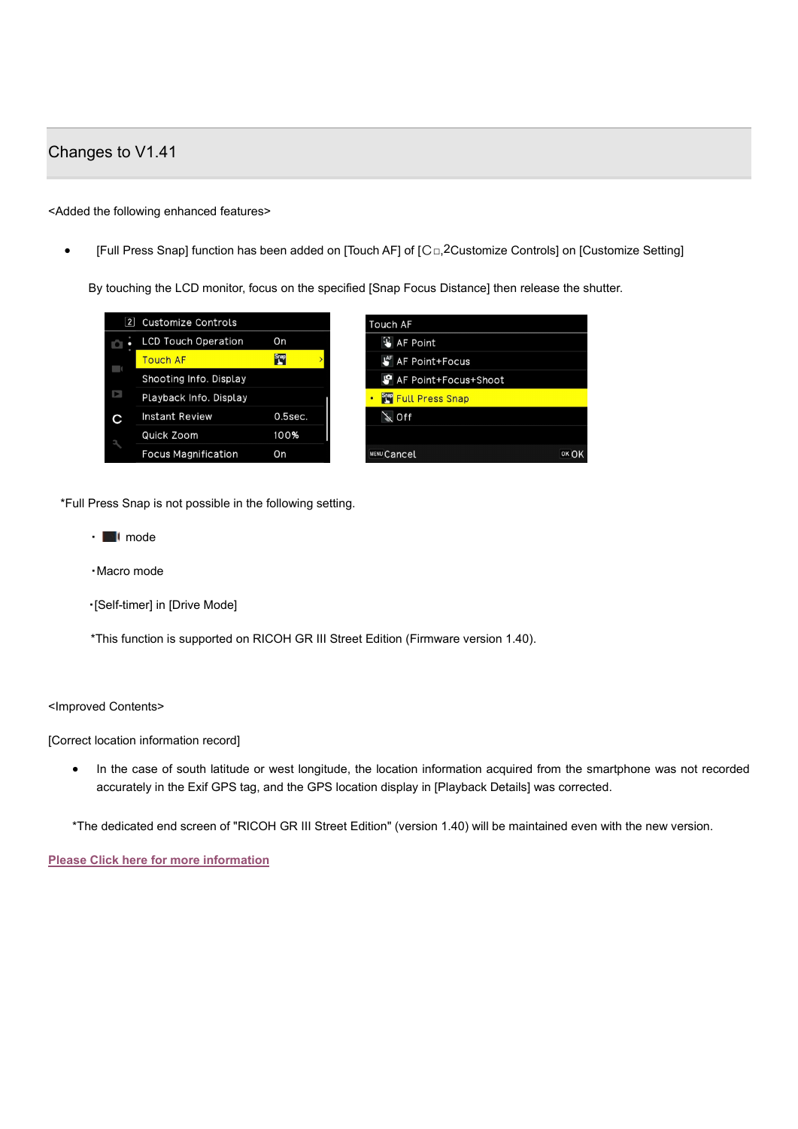# Changes to V1.41

### <Added the following enhanced features>

[Full Press Snap] function has been added on [Touch AF] of [C□,2Customize Controls] on [Customize Setting]

By touching the LCD monitor, focus on the specified [Snap Focus Distance] then release the shutter.

| 2       | <b>Customize Controls</b>  |             | <b>Touch AF</b>             |       |
|---------|----------------------------|-------------|-----------------------------|-------|
| ЮI<br>٠ | <b>LCD Touch Operation</b> | On          | <b>W</b> AF Point           |       |
|         | <b>Touch AF</b>            | <b>Snap</b> | LAF AF Point+Focus          |       |
|         | Shooting Info. Display     |             | AF Point+Focus+Shoot        |       |
| N       | Playback Info. Display     |             | <b>STOP</b> Full Press Snap |       |
| С       | Instant Review             | $0.5$ sec.  | $\searrow$ Off              |       |
|         | Quick Zoom                 | 100%        |                             |       |
|         | <b>Focus Magnification</b> | On          | <b>MENU Cancel</b>          | OK OK |

\*Full Press Snap is not possible in the following setting.

- ■ **I** mode
- ・Macro mode
- ・[Self-timer] in [Drive Mode]

\*This function is supported on RICOH GR III Street Edition (Firmware version 1.40).

### <Improved Contents>

[Correct location information record]

• In the case of south latitude or west longitude, the location information acquired from the smartphone was not recorded accurately in the Exif GPS tag, and the GPS location display in [Playback Details] was corrected.

\*The dedicated end screen of "RICOH GR III Street Edition" (version 1.40) will be maintained even with the new version.

**[Please Click here for more information](http://www.ricoh-imaging.co.jp/english/products/gr-3/firmup/index.html)**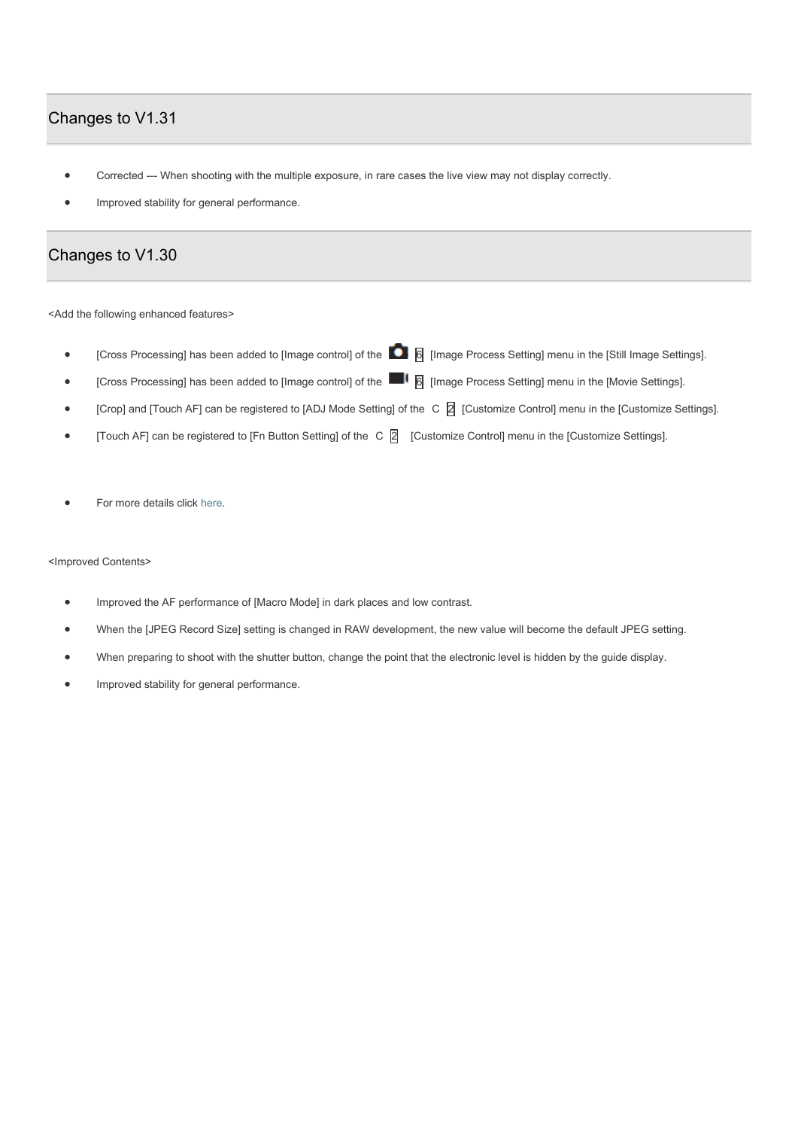# Changes to V1.31

- Corrected --- When shooting with the multiple exposure, in rare cases the live view may not display correctly.
- Improved stability for general performance.

### Changes to V1.30

<Add the following enhanced features>

- [Cross Processing] has been added to [Image control] of the **6** [Image Process Setting] menu in the [Still Image Settings].
- [Cross Processing] has been added to [Image control] of the **6** [Image Process Setting] menu in the [Movie Settings].
- [Crop] and [Touch AF] can be registered to [ADJ Mode Setting] of the C 2 [Customize Control] menu in the [Customize Settings].
- [Touch AF] can be registered to [Fn Button Setting] of the C 2 [Customize Control] menu in the [Customize Settings].
- For more details click [here.](http://www.ricoh-imaging.co.jp/english/support/digital/pdf/gr3_s_130.pdf)

#### <Improved Contents>

- Improved the AF performance of [Macro Mode] in dark places and low contrast.
- When the [JPEG Record Size] setting is changed in RAW development, the new value will become the default JPEG setting.
- When preparing to shoot with the shutter button, change the point that the electronic level is hidden by the guide display.
- Improved stability for general performance.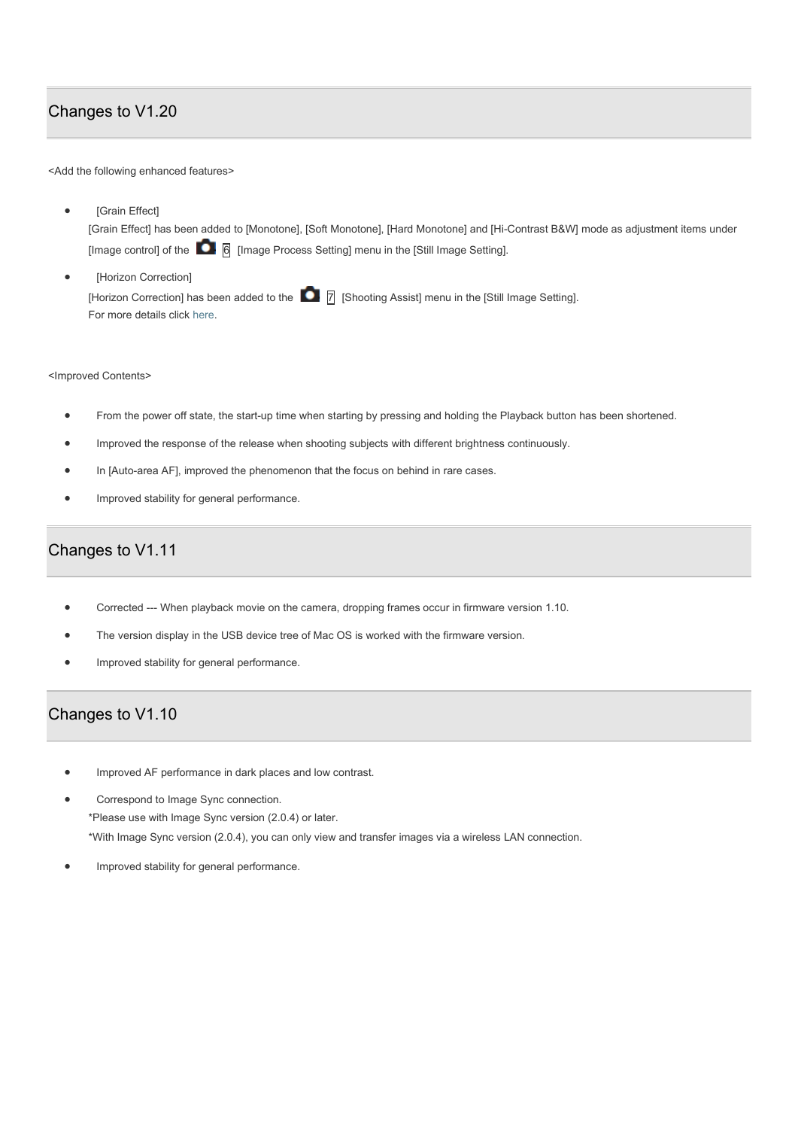# Changes to V1.20

<Add the following enhanced features>

- [Grain Effect] [Grain Effect] has been added to [Monotone], [Soft Monotone], [Hard Monotone] and [Hi-Contrast B&W] mode as adjustment items under [Image control] of the  $\begin{array}{|c|} \hline \text{6} \end{array}$  [Image Process Setting] menu in the [Still Image Setting].
- [Horizon Correction] [Horizon Correction] has been added to the 7 [Shooting Assist] menu in the [Still Image Setting]. For more details click [here.](http://www.ricoh-imaging.co.jp/english/support/digital/pdf/gr3_s.pdf)

<Improved Contents>

- From the power off state, the start-up time when starting by pressing and holding the Playback button has been shortened.
- Improved the response of the release when shooting subjects with different brightness continuously.
- In [Auto-area AF], improved the phenomenon that the focus on behind in rare cases.
- Improved stability for general performance.

# Changes to V1.11

- Corrected --- When playback movie on the camera, dropping frames occur in firmware version 1.10.
- The version display in the USB device tree of Mac OS is worked with the firmware version.
- Improved stability for general performance.

# Changes to V1.10

- Improved AF performance in dark places and low contrast.
- Correspond to Image Sync connection. \*Please use with Image Sync version (2.0.4) or later. \*With Image Sync version (2.0.4), you can only view and transfer images via a wireless LAN connection.
- Improved stability for general performance.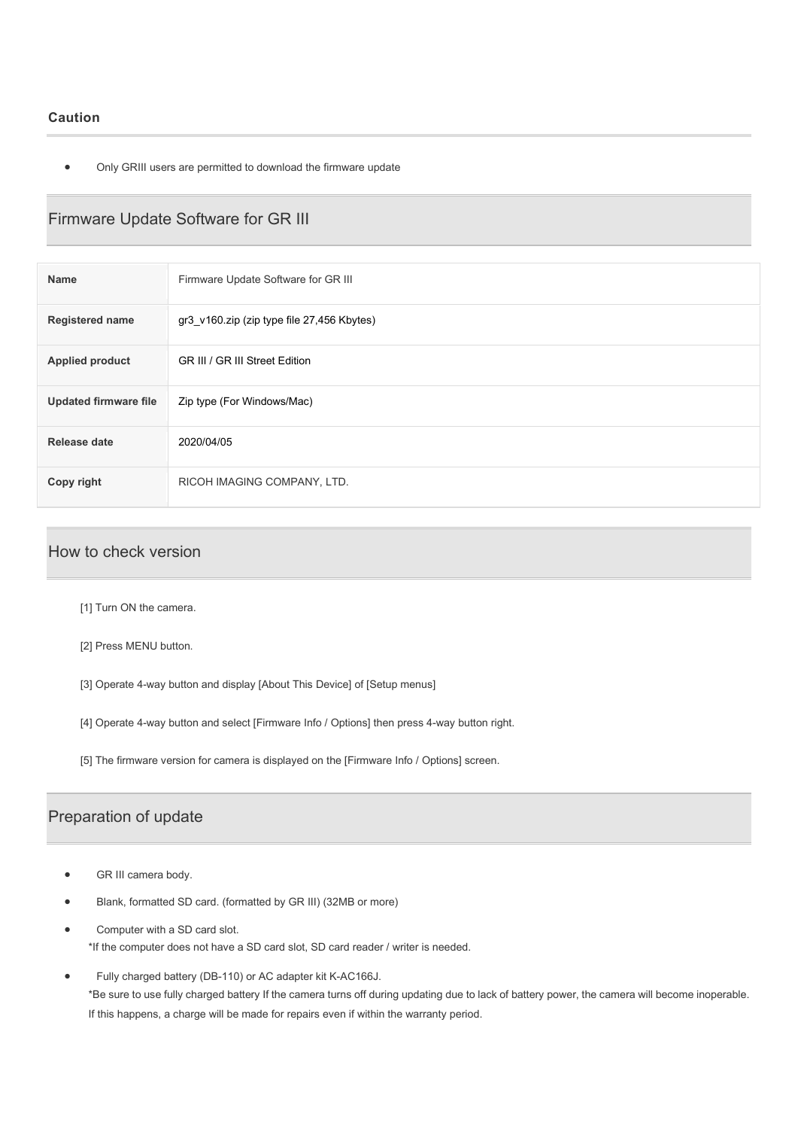### **Caution**

• Only GRIII users are permitted to download the firmware update

# Firmware Update Software for GR III

| <b>Name</b>                  | Firmware Update Software for GR III        |
|------------------------------|--------------------------------------------|
| <b>Registered name</b>       | gr3 v160.zip (zip type file 27,456 Kbytes) |
| <b>Applied product</b>       | GR III / GR III Street Edition             |
| <b>Updated firmware file</b> | Zip type (For Windows/Mac)                 |
| <b>Release date</b>          | 2020/04/05                                 |
| Copy right                   | RICOH IMAGING COMPANY, LTD.                |

### How to check version

- [1] Turn ON the camera.
- [2] Press MENU button.
- [3] Operate 4-way button and display [About This Device] of [Setup menus]
- [4] Operate 4-way button and select [Firmware Info / Options] then press 4-way button right.
- [5] The firmware version for camera is displayed on the [Firmware Info / Options] screen.

### Preparation of update

- GR III camera body.
- Blank, formatted SD card. (formatted by GR III) (32MB or more)
- Computer with a SD card slot. \*If the computer does not have a SD card slot, SD card reader / writer is needed.
- Fully charged battery (DB-110) or AC adapter kit K-AC166J. \*Be sure to use fully charged battery If the camera turns off during updating due to lack of battery power, the camera will become inoperable. If this happens, a charge will be made for repairs even if within the warranty period.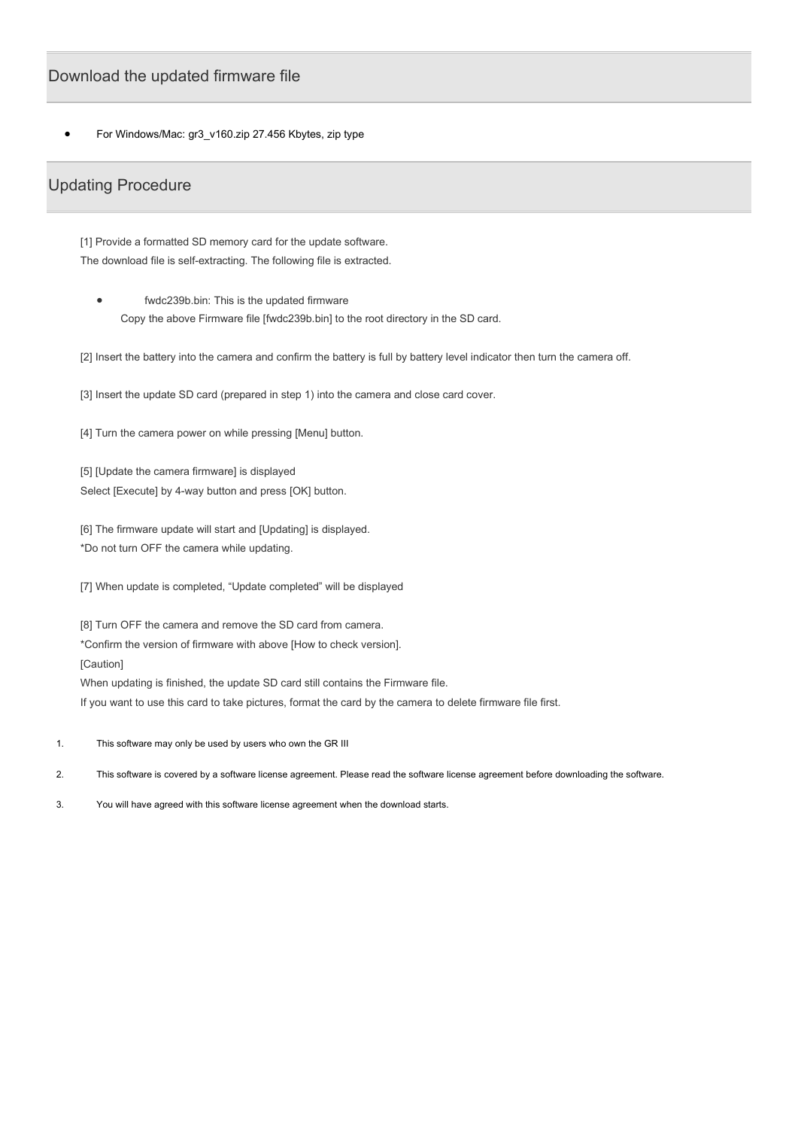### Download the updated firmware file

For Windows/Mac: gr3\_v160.zip 27.456 Kbytes, zip type

### Updating Procedure

[1] Provide a formatted SD memory card for the update software. The download file is self-extracting. The following file is extracted.

fwdc239b.bin: This is the updated firmware Copy the above Firmware file [fwdc239b.bin] to the root directory in the SD card.

[2] Insert the battery into the camera and confirm the battery is full by battery level indicator then turn the camera off.

[3] Insert the update SD card (prepared in step 1) into the camera and close card cover.

[4] Turn the camera power on while pressing [Menu] button.

[5] [Update the camera firmware] is displayed Select [Execute] by 4-way button and press [OK] button.

[6] The firmware update will start and [Updating] is displayed. \*Do not turn OFF the camera while updating.

[7] When update is completed, "Update completed" will be displayed

[8] Turn OFF the camera and remove the SD card from camera.

\*Confirm the version of firmware with above [How to check version].

[Caution]

When updating is finished, the update SD card still contains the Firmware file.

If you want to use this card to take pictures, format the card by the camera to delete firmware file first.

- 1. This software may only be used by users who own the GR III
- 2. This software is covered by a software license agreement. Please read the software license agreement before downloading the software.
- 3. You will have agreed with this software license agreement when the download starts.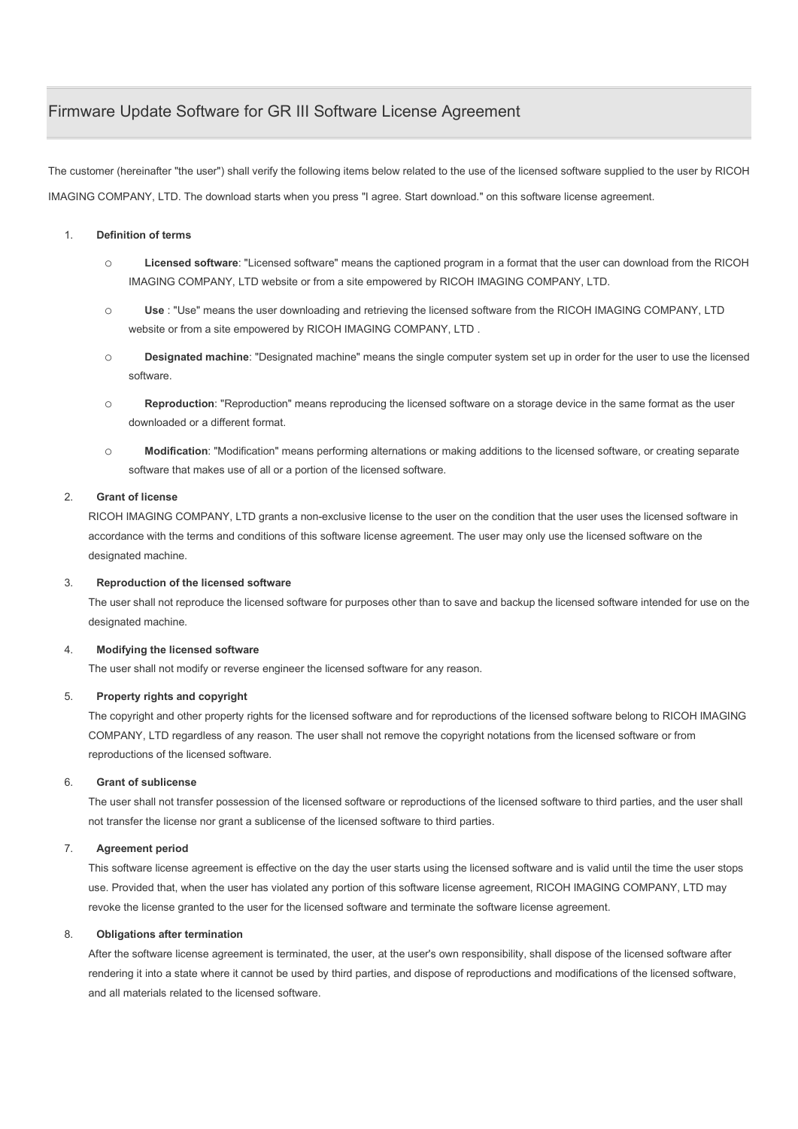# Firmware Update Software for GR III Software License Agreement

The customer (hereinafter "the user") shall verify the following items below related to the use of the licensed software supplied to the user by RICOH IMAGING COMPANY, LTD. The download starts when you press "I agree. Start download." on this software license agreement.

### 1. **Definition of terms**

- o **Licensed software**: "Licensed software" means the captioned program in a format that the user can download from the RICOH IMAGING COMPANY, LTD website or from a site empowered by RICOH IMAGING COMPANY, LTD.
- o **Use** : "Use" means the user downloading and retrieving the licensed software from the RICOH IMAGING COMPANY, LTD website or from a site empowered by RICOH IMAGING COMPANY, LTD .
- o **Designated machine**: "Designated machine" means the single computer system set up in order for the user to use the licensed software.
- o **Reproduction**: "Reproduction" means reproducing the licensed software on a storage device in the same format as the user downloaded or a different format.
- o **Modification**: "Modification" means performing alternations or making additions to the licensed software, or creating separate software that makes use of all or a portion of the licensed software.

### 2. **Grant of license**

RICOH IMAGING COMPANY, LTD grants a non-exclusive license to the user on the condition that the user uses the licensed software in accordance with the terms and conditions of this software license agreement. The user may only use the licensed software on the designated machine.

### 3. **Reproduction of the licensed software**

The user shall not reproduce the licensed software for purposes other than to save and backup the licensed software intended for use on the designated machine.

### 4. **Modifying the licensed software**

The user shall not modify or reverse engineer the licensed software for any reason.

### 5. **Property rights and copyright**

The copyright and other property rights for the licensed software and for reproductions of the licensed software belong to RICOH IMAGING COMPANY, LTD regardless of any reason. The user shall not remove the copyright notations from the licensed software or from reproductions of the licensed software.

### 6. **Grant of sublicense**

The user shall not transfer possession of the licensed software or reproductions of the licensed software to third parties, and the user shall not transfer the license nor grant a sublicense of the licensed software to third parties.

### 7. **Agreement period**

This software license agreement is effective on the day the user starts using the licensed software and is valid until the time the user stops use. Provided that, when the user has violated any portion of this software license agreement, RICOH IMAGING COMPANY, LTD may revoke the license granted to the user for the licensed software and terminate the software license agreement.

### 8. **Obligations after termination**

After the software license agreement is terminated, the user, at the user's own responsibility, shall dispose of the licensed software after rendering it into a state where it cannot be used by third parties, and dispose of reproductions and modifications of the licensed software, and all materials related to the licensed software.